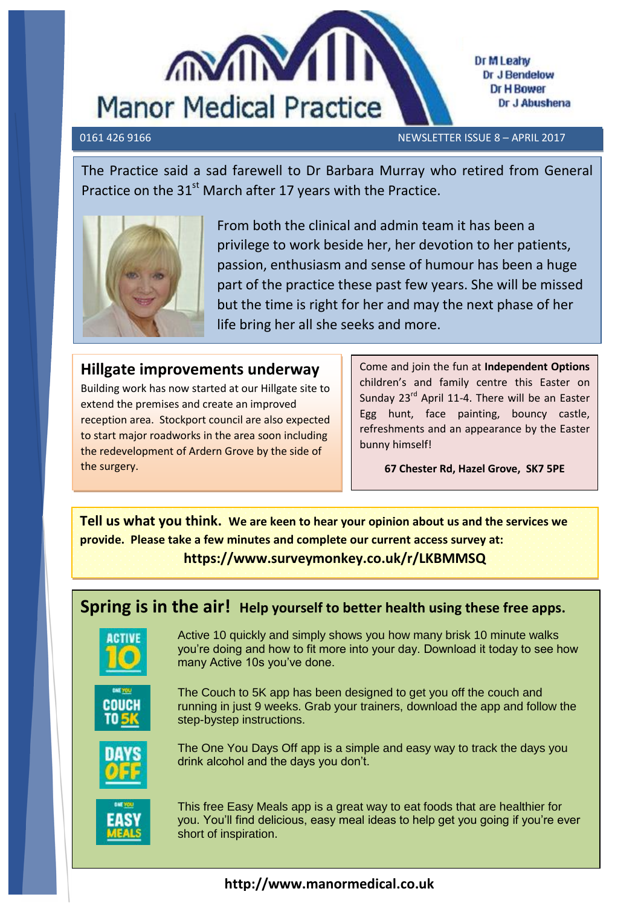

Dr M Leahy Dr J Bendelow **Dr H Bower** Dr J Abushena

0161 426 9166 NEWSLETTER ISSUE 8 – APRIL 2017

The Practice said a sad farewell to Dr Barbara Murray who retired from General Practice on the 31<sup>st</sup> March after 17 years with the Practice.



From both the clinical and admin team it has been a privilege to work beside her, her devotion to her patients, passion, enthusiasm and sense of humour has been a huge part of the practice these past few years. She will be missed but the time is right for her and may the next phase of her life bring her all she seeks and more.

## **Hillgate improvements underway**

 the redevelopment of Ardern Grove by the side of Building work has now started at our Hillgate site to extend the premises and create an improved reception area. Stockport council are also expected to start major roadworks in the area soon including the surgery.

Come and join the fun at **Independent Options** children's and family centre this Easter on Sunday 23<sup>rd</sup> April 11-4. There will be an Easter Egg hunt, face painting, bouncy castle, refreshments and an appearance by the Easter bunny himself!

**67 Chester Rd, Hazel Grove, SK7 5PE**

**Tell us what you think. We are keen to hear your opinion about us and the services we provide. Please take a few minutes and complete our current access survey at: https://www.surveymonkey.co.uk/r/LKBMMSQ**

# **Spring is in the air! Help yourself to better health using these free apps.**



Active 10 quickly and simply shows you how many brisk 10 minute walks you're doing and how to fit more into your day. Download it today to see how many Active 10s you've done.



The Couch to 5K app has been designed to get you off the couch and running in just 9 weeks. Grab your trainers, download the app and follow the step-bystep instructions.



The One You Days Off app is a simple and easy way to track the days you drink alcohol and the days you don't.



This free Easy Meals app is a great way to eat foods that are healthier for you. You'll find delicious, easy meal ideas to help get you going if you're ever short of inspiration.